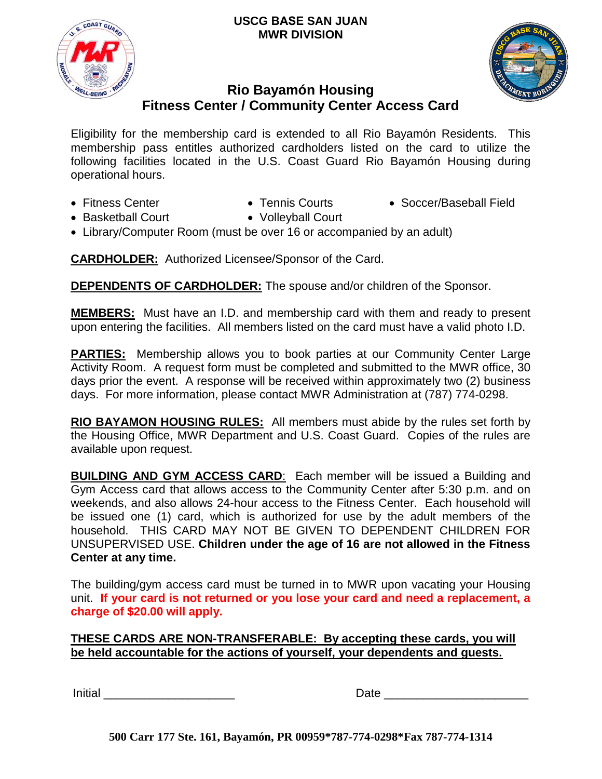#### **USCG BASE SAN JUAN MWR DIVISION**





# **Rio Bayamón Housing Fitness Center / Community Center Access Card**

Eligibility for the membership card is extended to all Rio Bayamón Residents. This membership pass entitles authorized cardholders listed on the card to utilize the following facilities located in the U.S. Coast Guard Rio Bayamón Housing during operational hours.

- 
- 
- Fitness Center • Tennis Courts Soccer/Baseball Field
- Basketball Court Volleyball Court
- Library/Computer Room (must be over 16 or accompanied by an adult)

**CARDHOLDER:** Authorized Licensee/Sponsor of the Card.

**DEPENDENTS OF CARDHOLDER:** The spouse and/or children of the Sponsor.

**MEMBERS:** Must have an I.D. and membership card with them and ready to present upon entering the facilities. All members listed on the card must have a valid photo I.D.

**PARTIES:** Membership allows you to book parties at our Community Center Large Activity Room. A request form must be completed and submitted to the MWR office, 30 days prior the event. A response will be received within approximately two (2) business days. For more information, please contact MWR Administration at (787) 774-0298.

**RIO BAYAMON HOUSING RULES:** All members must abide by the rules set forth by the Housing Office, MWR Department and U.S. Coast Guard. Copies of the rules are available upon request.

**BUILDING AND GYM ACCESS CARD**: Each member will be issued a Building and Gym Access card that allows access to the Community Center after 5:30 p.m. and on weekends, and also allows 24-hour access to the Fitness Center. Each household will be issued one (1) card, which is authorized for use by the adult members of the household. THIS CARD MAY NOT BE GIVEN TO DEPENDENT CHILDREN FOR UNSUPERVISED USE. **Children under the age of 16 are not allowed in the Fitness Center at any time.** 

The building/gym access card must be turned in to MWR upon vacating your Housing unit. **If your card is not returned or you lose your card and need a replacement, a charge of \$20.00 will apply.**

### **THESE CARDS ARE NON-TRANSFERABLE: By accepting these cards, you will be held accountable for the actions of yourself, your dependents and guests.**

Initial  $\Box$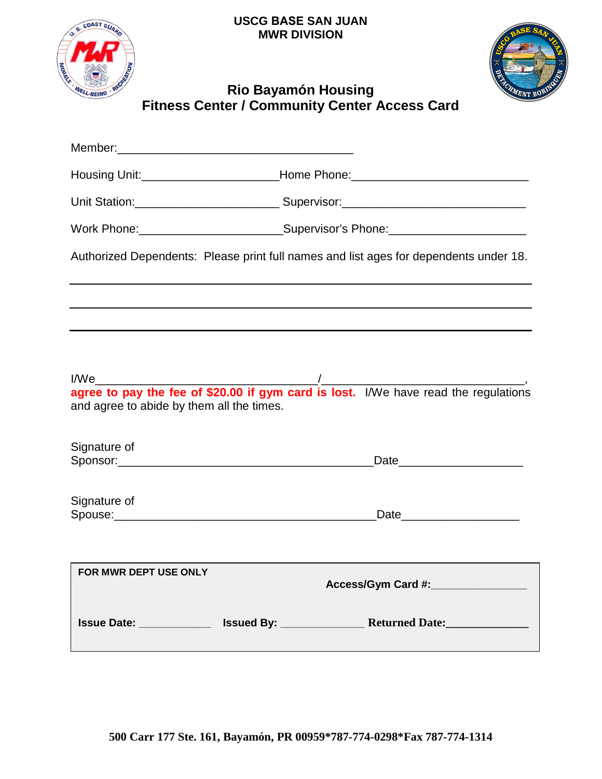**USCG BASE SAN JUAN MWR DIVISION** 





# **Rio Bayamón Housing Fitness Center / Community Center Access Card**

|                                                   | Housing Unit:__________________________Home Phone:______________________________      |  |
|---------------------------------------------------|---------------------------------------------------------------------------------------|--|
|                                                   | Unit Station:_________________________________Supervisor:________________________     |  |
|                                                   | Work Phone: ____________________________Supervisor's Phone: ____________________      |  |
|                                                   | Authorized Dependents: Please print full names and list ages for dependents under 18. |  |
|                                                   |                                                                                       |  |
|                                                   |                                                                                       |  |
| I/We<br>and agree to abide by them all the times. |                                                                                       |  |
| Signature of                                      | Date                                                                                  |  |
| Signature of                                      | Date                                                                                  |  |
| FOR MWR DEPT USE ONLY                             | Access/Gym Card #:_________________                                                   |  |
|                                                   |                                                                                       |  |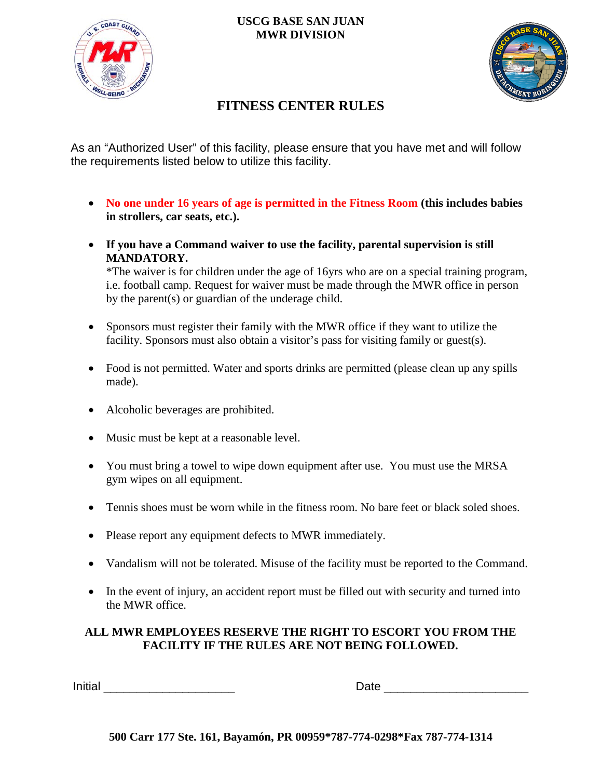

### **USCG BASE SAN JUAN MWR DIVISION**



# **FITNESS CENTER RULES**

As an "Authorized User" of this facility, please ensure that you have met and will follow the requirements listed below to utilize this facility.

- **No one under 16 years of age is permitted in the Fitness Room (this includes babies in strollers, car seats, etc.).**
- **If you have a Command waiver to use the facility, parental supervision is still MANDATORY.**

\*The waiver is for children under the age of 16yrs who are on a special training program, i.e. football camp. Request for waiver must be made through the MWR office in person by the parent(s) or guardian of the underage child.

- Sponsors must register their family with the MWR office if they want to utilize the facility. Sponsors must also obtain a visitor's pass for visiting family or guest(s).
- Food is not permitted. Water and sports drinks are permitted (please clean up any spills made).
- Alcoholic beverages are prohibited.
- Music must be kept at a reasonable level.
- You must bring a towel to wipe down equipment after use. You must use the MRSA gym wipes on all equipment.
- Tennis shoes must be worn while in the fitness room. No bare feet or black soled shoes.
- Please report any equipment defects to MWR immediately.
- Vandalism will not be tolerated. Misuse of the facility must be reported to the Command.
- In the event of injury, an accident report must be filled out with security and turned into the MWR office.

### **ALL MWR EMPLOYEES RESERVE THE RIGHT TO ESCORT YOU FROM THE FACILITY IF THE RULES ARE NOT BEING FOLLOWED.**

Initial \_\_\_\_\_\_\_\_\_\_\_\_\_\_\_\_\_\_\_\_ Date \_\_\_\_\_\_\_\_\_\_\_\_\_\_\_\_\_\_\_\_\_\_